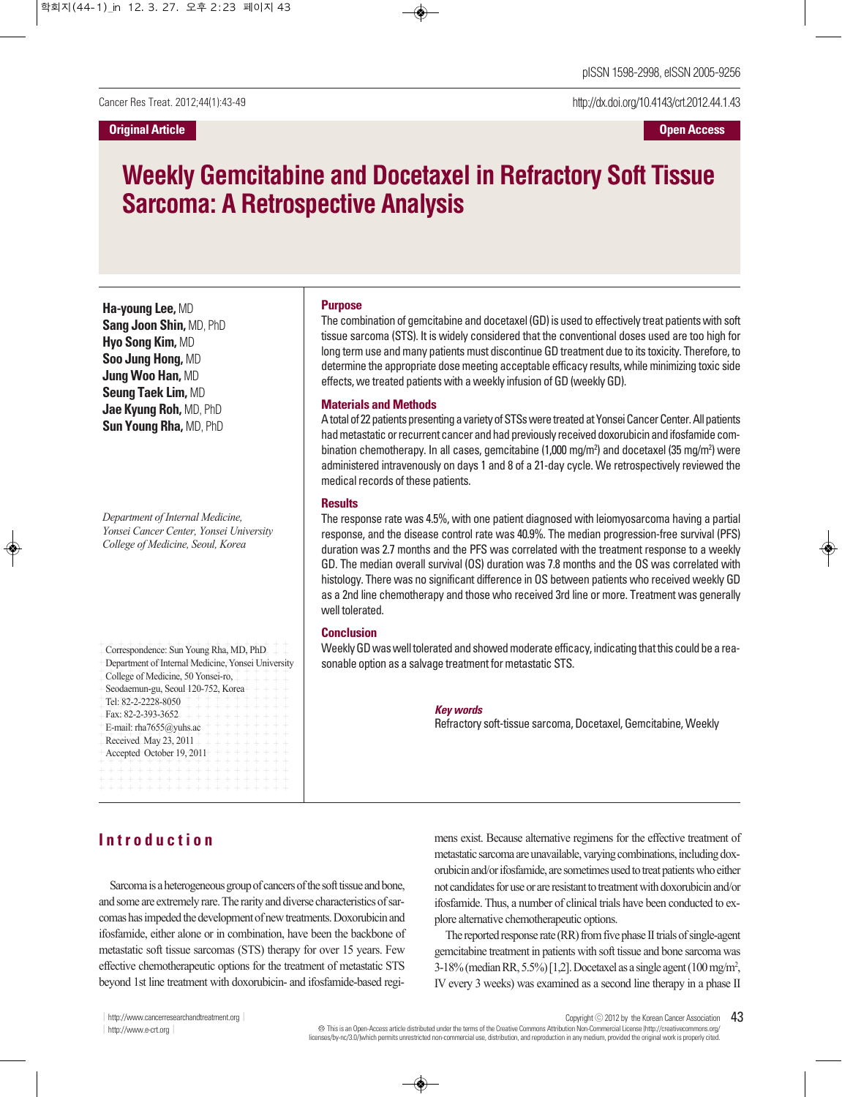http://dx.doi.org/10.4143/crt.2012.44.1.43

# **Weekly Gemcitabine and Docetaxel in Refractory Soft Tissue Sarcoma: A Retrospective Analysis**

**Ha-young Lee,** MD **Sang Joon Shin,** MD, PhD **Hyo Song Kim,** MD **Soo Jung Hong,** MD **Jung Woo Han,** MD **Seung Taek Lim,** MD **Jae Kyung Roh,** MD, PhD **Sun Young Rha,** MD, PhD

*Department of Internal Medicine, Yonsei Cancer Center, Yonsei University College of Medicine, Seoul, Korea*

Correspondence: Sun Young Rha, MD, PhD<br>
Department of Internal Medicine, Yonsei Universi<br>
College of Medicine, 50 Yonsei-ro,<br>
Seodaemun-gu, Seoul 120-752, Korea<br>
Fel: 82-2-2228-8050<br>
Fax: 82-2-393-3652<br>
Fax: 82-2-393-3652 Correspondence: Sun Young Rha, MD, PhD Department of Internal Medicine, Yonsei University College of Medicine, 50 Yonsei-ro, Seodaemun-gu, Seoul 120-752, Korea Tel: 82-2-2228-8050 Fax: 82-2-393-3652 E-mail: rha7655@yuhs.ac Received May 23, 2011 Accepted October 19, 2011

#### **Purpose**

The combination of gemcitabine and docetaxel (GD) is used to effectively treat patientswith soft tissue sarcoma (STS). It is widely considered that the conventional doses used are too high for long term use and many patients must discontinue GD treatment due to its toxicity. Therefore, to determine the appropriate dose meeting acceptable efficacy results, while minimizing toxic side effects, we treated patients with a weekly infusion of GD (weekly GD).

#### **Materials and Methods**

A total of 22 patients presenting a variety of STSs were treated at Yonsei Cancer Center. All patients had metastatic or recurrent cancer and had previously received doxorubicin and ifosfamide combination chemotherapy. In all cases, gemcitabine (1,000 mg/m<sup>2</sup>) and docetaxel (35 mg/m<sup>2</sup>) were administered intravenously on days 1 and 8 of a 21-day cycle. We retrospectively reviewed the medical records of these patients.

#### **Results**

The response rate was 4.5%, with one patient diagnosed with leiomyosarcoma having a partial response, and the disease control rate was 40.9%. The median progression-free survival (PFS) duration was 2.7 months and the PFS was correlated with the treatment response to a weekly GD. The median overall survival (OS) duration was 7.8 months and the OS was correlated with histology. There was no significant difference in OS between patients who received weekly GD as a 2nd line chemotherapy and those who received 3rd line or more. Treatment was generally well tolerated.

### **Conclusion**

Weekly GD was well tolerated and showed moderate efficacy, indicating that this could be a reasonable option as a salvage treatment for metastatic STS.

#### **Key words**

Refractory soft-tissue sarcoma, Docetaxel, Gemcitabine, Weekly

# **I n t r o d u c t i o n**

Sarcoma is a heterogeneous group of cancers of the soft tissue and bone, and some are extremely rare. The rarity and diverse characteristics of sarcomas has impeded the development of new treatments. Doxorubicin and ifosfamide, either alone or in combination, have been the backbone of metastatic soft tissue sarcomas (STS) therapy for over 15 years. Few effective chemotherapeutic options for the treatment of metastatic STS beyond 1st line treatment with doxorubicin- and ifosfamide-based regimens exist. Because alternative regimens for the effective treatment of metastatic sarcoma are unavailable, varying combinations, including doxorubicin and/or ifosfamide, are sometimes used to treat patients who either not candidates for use or are resistant to treatment with doxorubicin and/or ifosfamide. Thus, a number of clinical trials have been conducted to explore alternative chemotherapeutic options.

The reported response rate  $(RR)$  from five phase II trials of single-agent gemcitabine treatment in patients with soft tissue and bone sarcoma was 3-18%(medianRR,5.5%)[1,2].Docetaxel as a single agent(100mg/m2 , IV every 3 weeks) was examined as a second line therapy in a phase II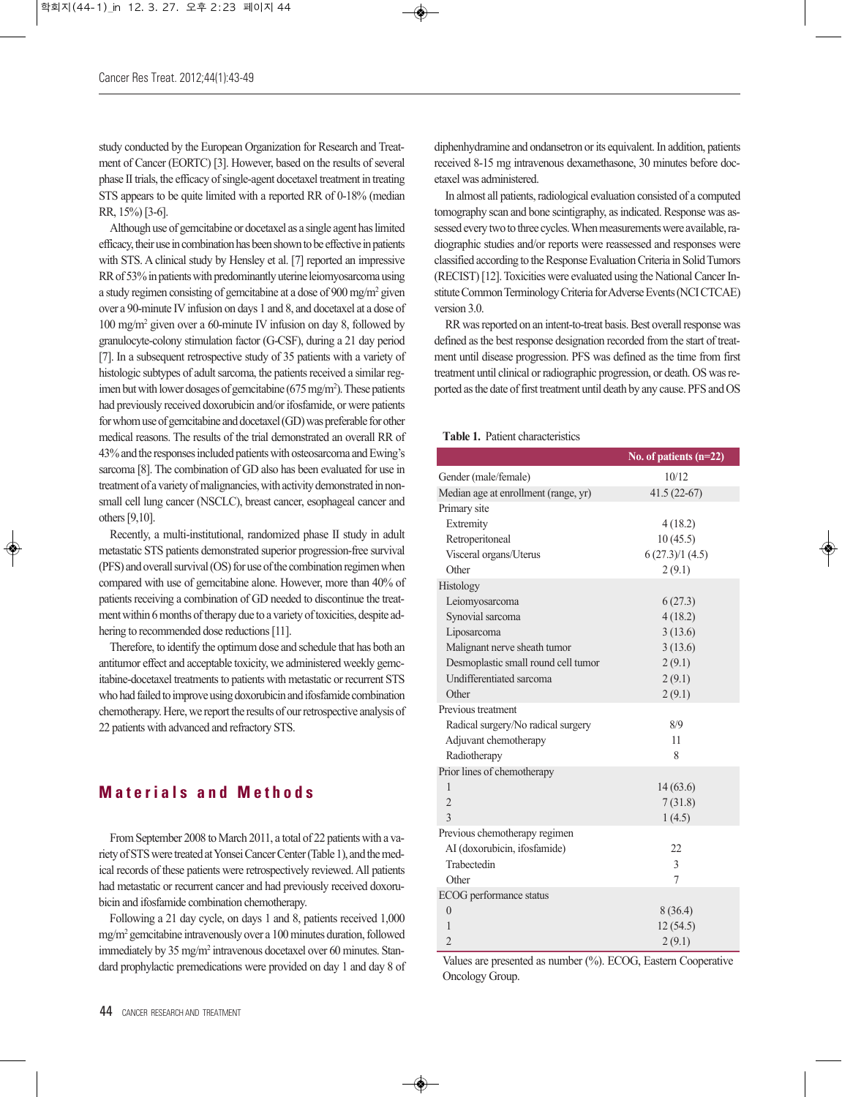study conducted by the European Organization for Research and Treatment of Cancer (EORTC) [3]. However, based on the results of several phase II trials, the efficacy of single-agent docetaxel treatment in treating STS appears to be quite limited with a reported RR of 0-18% (median RR, 15%)[3-6].

Although use of gemcitabine or docetaxel as a single agent haslimited efficacy, their use in combination has been shown to be effective in patients with STS. A clinical study by Hensley et al. [7] reported an impressive RR of 53% in patients with predominantly uterine leiomyosarcoma using a study regimen consisting of gemcitabine at a dose of 900 mg/m2 given over a 90-minute IV infusion on days 1 and 8, and docetaxel at a dose of 100 mg/m2 given over a 60-minute IV infusion on day 8, followed by granulocyte-colony stimulation factor (G-CSF), during a 21 day period [7]. In a subsequent retrospective study of 35 patients with a variety of histologic subtypes of adult sarcoma, the patients received a similar regimen but with lower dosages of gemcitabine (675 mg/m<sup>2</sup>). These patients had previously received doxorubicin and/or ifosfamide, or were patients for whom use of gemcitabine and docetaxel (GD) was preferable for other medical reasons. The results of the trial demonstrated an overall RR of 43% and the responses included patients with osteosarcoma and Ewing's sarcoma [8]. The combination of GD also has been evaluated for use in treatment of a variety of malignancies, with activity demonstrated in nonsmall cell lung cancer (NSCLC), breast cancer, esophageal cancer and others[9,10].

Recently, a multi-institutional, randomized phase II study in adult metastatic STS patients demonstrated superior progression-free survival (PFS) and overall survival (OS) for use of the combination regimen when compared with use of gemcitabine alone. However, more than 40% of patients receiving a combination of GD needed to discontinue the treatment within 6 months of therapy due to a variety of toxicities, despite adhering to recommended dose reductions [11].

Therefore, to identify the optimum dose and schedule that has both an antitumor effect and acceptable toxicity, we administered weekly gemcitabine-docetaxel treatments to patients with metastatic or recurrent STS who had failed to improve using doxorubicin and ifosfamide combination chemotherapy. Here, we report the results of our retrospective analysis of 22 patients with advanced and refractory STS.

# **M a t e r i a l s a n d M e t h o d s**

FromSeptember 2008 to March 2011, a total of 22 patients with a variety of STS were treated at Yonsei Cancer Center (Table 1), and the medical records of these patients were retrospectively reviewed.All patients had metastatic or recurrent cancer and had previously received doxorubicin and ifosfamide combination chemotherapy.

Following a 21 day cycle, on days 1 and 8, patients received 1,000  $mg/m<sup>2</sup>$  gemcitabine intravenously over a 100 minutes duration, followed immediately by 35 mg/m<sup>2</sup> intravenous docetaxel over 60 minutes. Standard prophylactic premedications were provided on day 1 and day 8 of

In almost all patients, radiological evaluation consisted of a computed tomography scan and bone scintigraphy, as indicated. Response was assessed every two to three cycles. When measurements were available, radiographic studies and/or reports were reassessed and responses were classified according to the Response Evaluation Criteria in Solid Tumors (RECIST) [12]. Toxicities were evaluated using the National Cancer Institute Common Terminology Criteria for Adverse Events (NCI CTCAE) version 3.0.

RR was reported on an intent-to-treat basis. Best overall response was defined asthe best response designation recorded from the start of treatment until disease progression. PFS was defined as the time from first treatment until clinical orradiographic progression, or death. OS wasreported as the date of first treatment until death by any cause. PFS and OS

#### **Table 1.** Patient characteristics

|                                      | No. of patients $(n=22)$ |
|--------------------------------------|--------------------------|
| Gender (male/female)                 | 10/12                    |
| Median age at enrollment (range, yr) | $41.5(22-67)$            |
| Primary site                         |                          |
| Extremity                            | 4(18.2)                  |
| Retroperitoneal                      | 10(45.5)                 |
| Visceral organs/Uterus               | 6(27.3)/1(4.5)           |
| Other                                | 2(9.1)                   |
| Histology                            |                          |
| Leiomyosarcoma                       | 6(27.3)                  |
| Synovial sarcoma                     | 4(18.2)                  |
| Liposarcoma                          | 3(13.6)                  |
| Malignant nerve sheath tumor         | 3(13.6)                  |
| Desmoplastic small round cell tumor  | 2(9.1)                   |
| <b>Undifferentiated sarcoma</b>      | 2(9.1)                   |
| Other                                | 2(9.1)                   |
| Previous treatment                   |                          |
| Radical surgery/No radical surgery   | 8/9                      |
| Adjuvant chemotherapy                | 11                       |
| Radiotherapy                         | 8                        |
| Prior lines of chemotherapy          |                          |
| $\mathbf{1}$                         | 14(63.6)                 |
| $\overline{2}$                       | 7(31.8)                  |
| 3                                    | 1(4.5)                   |
| Previous chemotherapy regimen        |                          |
| AI (doxorubicin, ifosfamide)         | 22                       |
| Trabectedin                          | 3                        |
| Other                                | 7                        |
| ECOG performance status              |                          |
| $\overline{0}$                       | 8(36.4)                  |
| 1                                    | 12(54.5)                 |
| $\overline{2}$                       | 2(9.1)                   |

Values are presented as number (%). ECOG, Eastern Cooperative Oncology Group.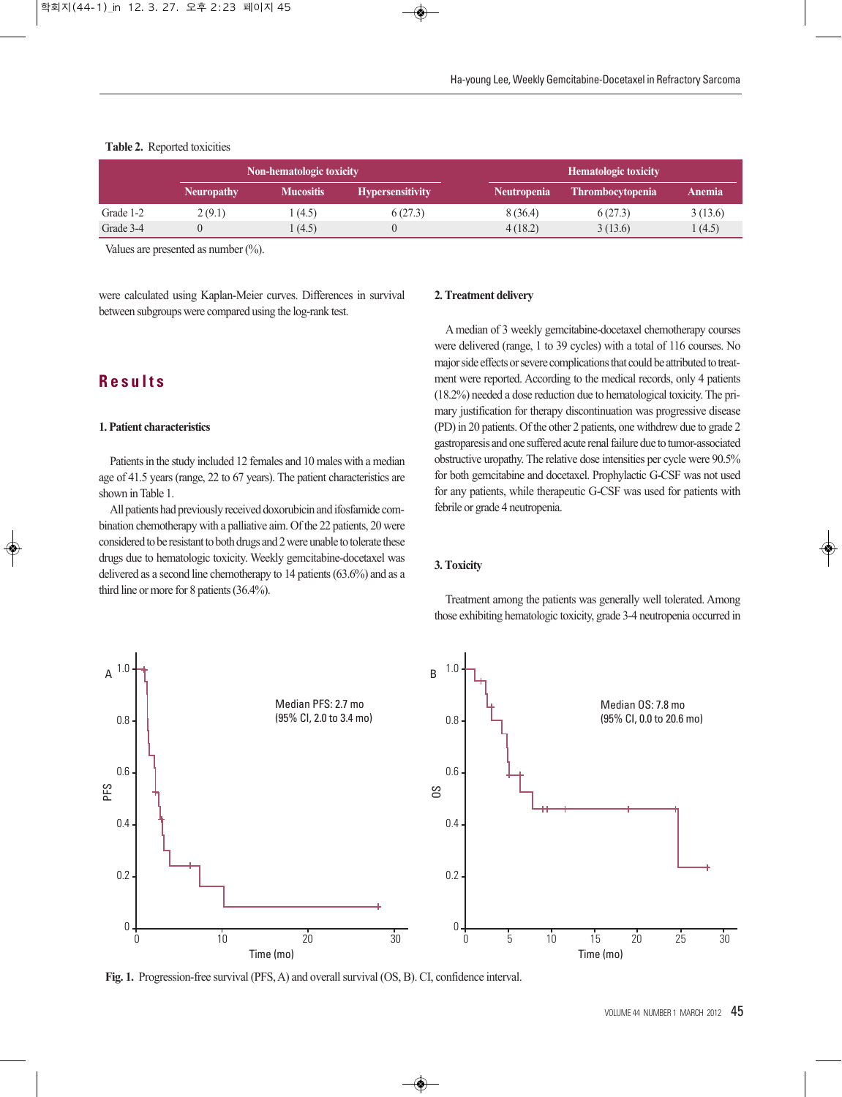#### **Table 2.** Reported toxicities

|           | Non-hematologic toxicity |                  |                         | <b>Hematologic toxicity</b> |                         |         |
|-----------|--------------------------|------------------|-------------------------|-----------------------------|-------------------------|---------|
|           | <b>Neuropathy</b>        | <b>Mucositis</b> | <b>Hypersensitivity</b> | <b>Neutropenia</b>          | <b>Thrombocytopenia</b> | Anemia  |
| Grade 1-2 | 2(9.1)                   | (4.5)            | 6(27.3)                 | 8 (36.4)                    | 6(27.3)                 | 3(13.6) |
| Grade 3-4 |                          | (4.5)            |                         | 4(18.2)                     | 3(13.6)                 | 1(4.5)  |

Values are presented as number (%).

were calculated using Kaplan-Meier curves. Differences in survival between subgroups were compared using the log-rank test.

# **R e s u l t s**

#### **1. Patient characteristics**

Patients in the study included 12 females and 10 males with a median age of 41.5 years (range, 22 to 67 years). The patient characteristics are shown in Table 1.

All patients had previously received doxorubicin and ifosfamide combination chemotherapy with a palliative aim. Of the 22 patients, 20 were considered to be resistant to both drugs and 2 were unable to tolerate these drugs due to hematologic toxicity. Weekly gemcitabine-docetaxel was delivered as a second line chemotherapy to 14 patients(63.6%) and as a third line or more for 8 patients(36.4%).

#### **2.Treatment delivery**

Amedian of 3 weekly gemcitabine-docetaxel chemotherapy courses were delivered (range, 1 to 39 cycles) with a total of 116 courses. No major side effects or severe complications that could be attributed to treatment were reported. According to the medical records, only 4 patients (18.2%) needed a dose reduction due to hematological toxicity. The primary justification for therapy discontinuation was progressive disease (PD) in 20 patients. Of the other 2 patients, one withdrew due to grade 2 gastroparesis and one suffered acute renal failure due to tumor-associated obstructive uropathy. The relative dose intensities per cycle were 90.5% for both gemcitabine and docetaxel. Prophylactic G-CSF was not used for any patients, while therapeutic G-CSF was used for patients with febrile or grade 4 neutropenia.

#### **3.Toxicity**

Treatment among the patients was generally well tolerated. Among those exhibiting hematologic toxicity, grade 3-4 neutropenia occurred in



Fig. 1. Progression-free survival (PFS, A) and overall survival (OS, B). CI, confidence interval.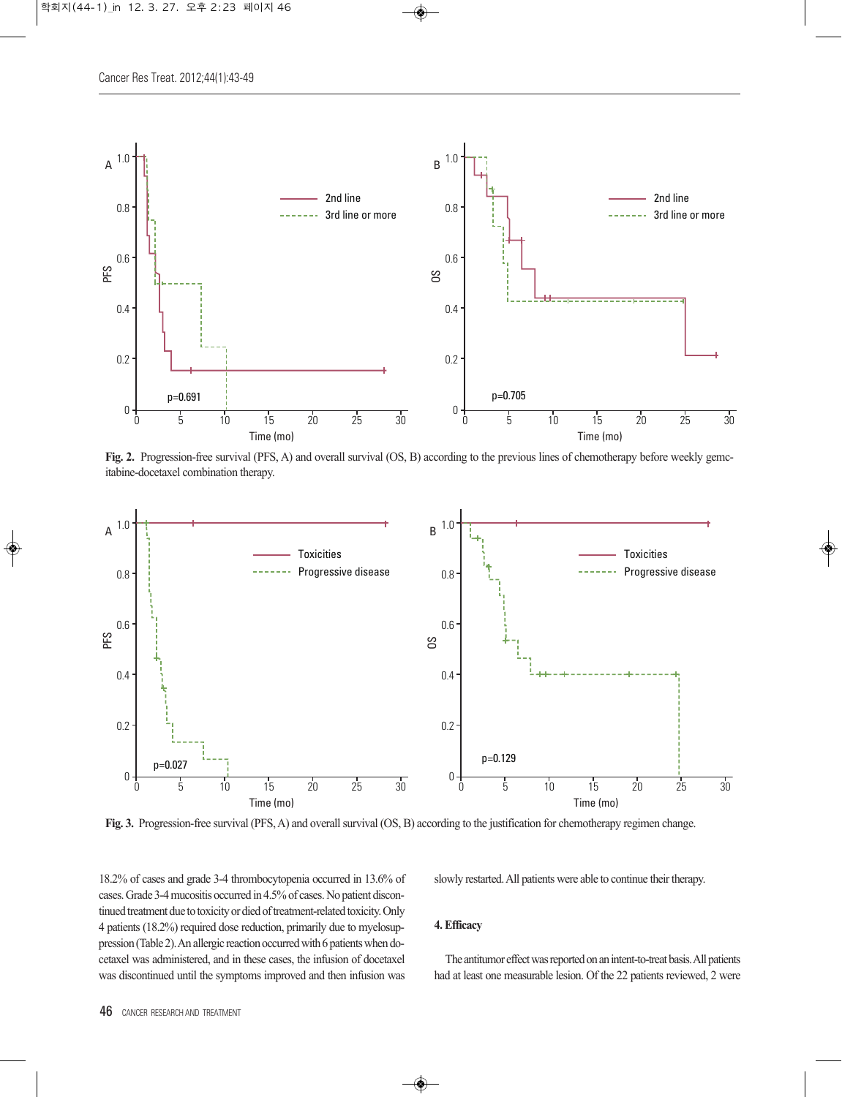

**Fig. 2.** Progression-free survival (PFS, A) and overall survival (OS, B) according to the previous lines of chemotherapy before weekly gemcitabine-docetaxel combination therapy.



**Fig. 3.** Progression-free survival (PFS,A) and overallsurvival (OS, B) according to the justification for chemotherapy regimen change.

18.2% of cases and grade 3-4 thrombocytopenia occurred in 13.6% of cases.Grade 3-4mucositis occurred in 4.5%of cases.No patient discontinued treatment due to toxicity or died of treatment-related toxicity. Only 4 patients (18.2%) required dose reduction, primarily due to myelosuppression (Table 2). An allergic reaction occurred with 6 patients when docetaxel was administered, and in these cases, the infusion of docetaxel was discontinued until the symptoms improved and then infusion was

slowly restarted. All patients were able to continue their therapy.

#### **4.Efficacy**

The antitumor effect was reported on an intent-to-treat basis. All patients had at least one measurable lesion. Of the 22 patients reviewed, 2 were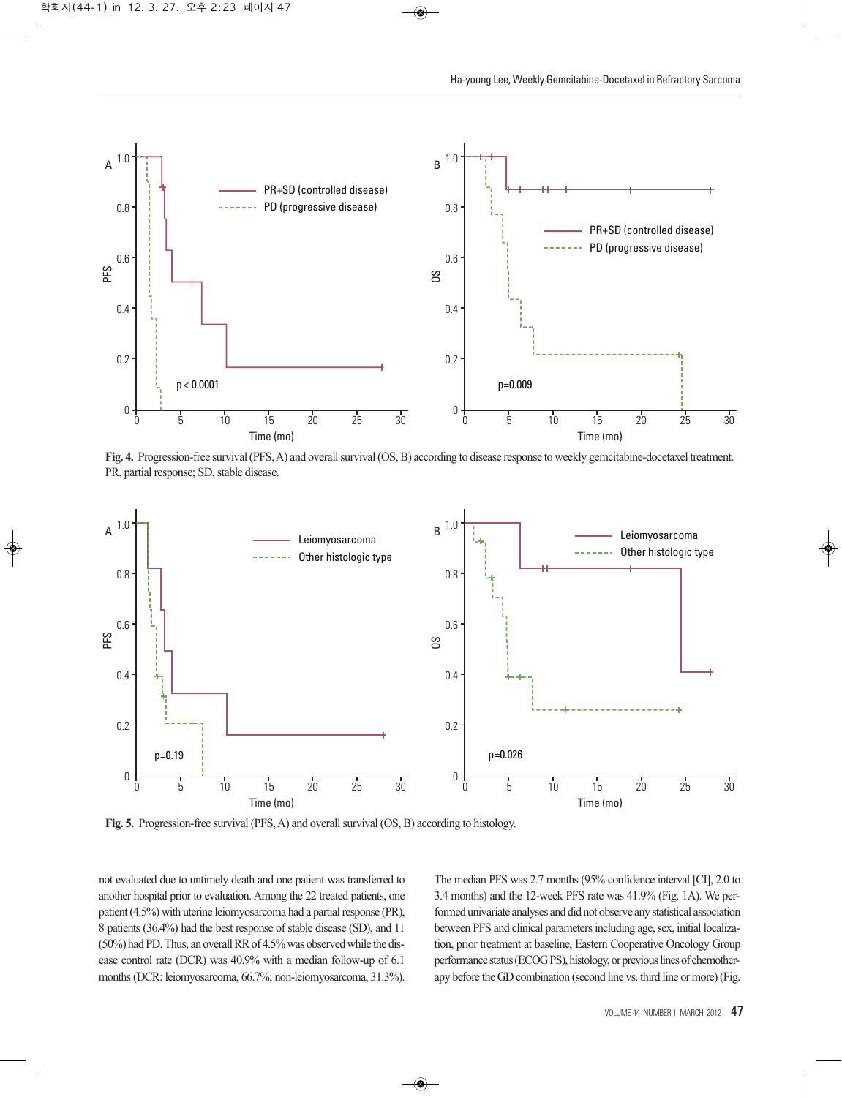

**Fig. 4.** Progression-free survival(PFS,A) and overallsurvival(OS,B) according to disease response to weekly gemcitabine-docetaxel treatment. PR, partial response; SD, stable disease.



**Fig. 5.** Progression-free survival (PFS, A) and overall survival (OS, B) according to histology.

not evaluated due to untimely death and one patient was transferred to another hospital prior to evaluation. Among the 22 treated patients, one patient (4.5%) with uterine leiomyosarcoma had a partial response (PR), 8 patients (36.4%) had the best response of stable disease (SD), and 11  $(50\%)$  had PD. Thus, an overall RR of 4.5% was observed while the disease control rate (DCR) was 40.9% with a median follow-up of 6.1 months(DCR: leiomyosarcoma, 66.7%; non-leiomyosarcoma, 31.3%). The median PFS was 2.7 months (95% confidence interval [CI], 2.0 to 3.4 months) and the 12-week PFS rate was 41.9% (Fig. 1A). We performed univariate analyses and did not observe any statistical association between PFS and clinical parameters including age, sex, initial localization, prior treatment at baseline, Eastern Cooperative Oncology Group performance status (ECOG PS), histology, or previous lines of chemotherapy before the GD combination (second line vs. third line or more)(Fig.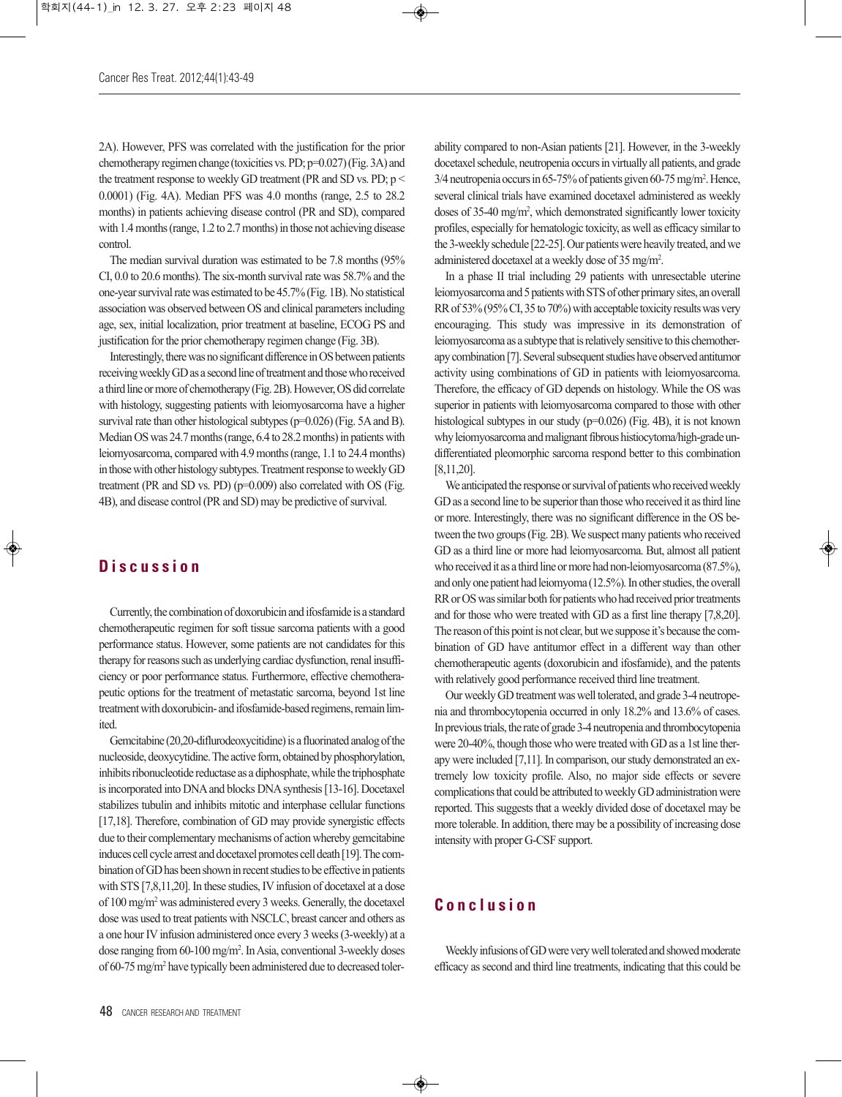2A). However, PFS was correlated with the justification for the prior chemotherapy regimen change (toxicities vs. PD;  $p=0.027$ ) (Fig. 3A) and the treatment response to weekly GD treatment (PR and SD vs. PD; p < 0.0001) (Fig. 4A). Median PFS was 4.0 months (range, 2.5 to 28.2 months) in patients achieving disease control (PR and SD), compared with  $1.4$  months (range,  $1.2$  to  $2.7$  months) in those not achieving disease control.

The median survival duration was estimated to be 7.8 months (95% CI, 0.0 to 20.6 months). The six-month survival rate was 58.7% and the one-year survival rate was estimated to be 45.7% (Fig. 1B). No statistical association was observed between OS and clinical parameters including age, sex, initial localization, prior treatment at baseline, ECOG PS and justification for the prior chemotherapy regimen change (Fig. 3B).

Interestingly, there was no significant difference in OS between patients receiving weekly GD as a second line of treatment and those who received a third line or more of chemotherapy (Fig. 2B). However, OS did correlate with histology, suggesting patients with leiomyosarcoma have a higher survival rate than other histological subtypes ( $p=0.026$ ) (Fig. 5A and B). Median OS was 24.7 months (range, 6.4 to 28.2 months) in patients with leiomyosarcoma, compared with 4.9months(range, 1.1 to 24.4months) in those with other histology subtypes. Treatment response to weekly GD treatment (PR and SD vs. PD) (p=0.009) also correlated with OS (Fig. 4B), and disease control (PR and SD) may be predictive of survival.

# **D i s c u s s i o n**

Currently, the combination of doxorubicin and ifosfamide is a standard chemotherapeutic regimen for soft tissue sarcoma patients with a good performance status. However, some patients are not candidates for this therapy for reasons such as underlying cardiac dysfunction, renal insufficiency or poor performance status. Furthermore, effective chemotherapeutic options for the treatment of metastatic sarcoma, beyond 1st line treatment with doxorubicin- and ifosfamide-based regimens, remain limited.

Gemcitabine (20,20-diflurodeoxycitidine) is a fluorinated analog of the nucleoside, deoxycytidine. The active form, obtained by phosphorylation, inhibits ribonucleotide reductase as a diphosphate, while the triphosphate is incorporated into DNA and blocks DNA synthesis [13-16]. Docetaxel stabilizes tubulin and inhibits mitotic and interphase cellular functions [17,18]. Therefore, combination of GD may provide synergistic effects due to their complementary mechanisms of action whereby gemcitabine induces cell cycle arrest and docetaxel promotes cell death [19]. The combination of GD has been shown in recent studies to be effective in patients with STS [7,8,11,20]. In these studies, IV infusion of docetaxel at a dose of 100 mg/m2 was administered every 3 weeks. Generally, the docetaxel dose was used to treat patients with NSCLC, breast cancer and others as a one hour IV infusion administered once every 3 weeks (3-weekly) at a dose ranging from 60-100 mg/m2 .InAsia, conventional 3-weekly doses of 60-75mg/m2 have typically been administered due to decreased tolerability compared to non-Asian patients [21]. However, in the 3-weekly docetaxel schedule, neutropenia occurs in virtually all patients, and grade 3/4 neutropenia occurs in 65-75% of patients given 60-75 mg/m<sup>2</sup>. Hence, several clinical trials have examined docetaxel administered as weekly doses of 35-40 mg/m2 , which demonstrated significantly lower toxicity profiles, especially for hematologic toxicity, as well as efficacy similarto the 3-weekly schedule [22-25]. Our patients were heavily treated, and we administered docetaxel at a weekly dose of 35 mg/m2 .

In a phase II trial including 29 patients with unresectable uterine leiomyosarcoma and 5 patients with STS of other primary sites, an overall RR of 53% (95% CI, 35 to 70%) with acceptable toxicity results was very encouraging. This study was impressive in its demonstration of leiomyosarcoma as a subtype that is relatively sensitive to this chemotherapy combination [7]. Several subsequent studies have observed antitumor activity using combinations of GD in patients with leiomyosarcoma. Therefore, the efficacy of GD depends on histology. While the OS was superior in patients with leiomyosarcoma compared to those with other histological subtypes in our study (p=0.026) (Fig. 4B), it is not known why leiomyosarcoma and malignant fibrous histiocytoma/high-grade undifferentiated pleomorphic sarcoma respond better to this combination [8,11,20].

We anticipated the response or survival of patients who received weekly GD as a second line to be superior than those who received it as third line or more. Interestingly, there was no significant difference in the OS between the two groups (Fig. 2B). We suspect many patients who received GD as a third line or more had leiomyosarcoma. But, almost all patient who received it as a third line or more had non-leiomyosarcoma (87.5%), and only one patient had leiomyoma  $(12.5\%)$ . In other studies, the overall RR or OS was similar both for patients who had received prior treatments and for those who were treated with GD as a first line therapy [7,8,20]. The reason of this point is not clear, but we suppose it's because the combination of GD have antitumor effect in a different way than other chemotherapeutic agents (doxorubicin and ifosfamide), and the patents with relatively good performance received third line treatment.

Our weekly GD treatment was well tolerated, and grade 3-4 neutropenia and thrombocytopenia occurred in only 18.2% and 13.6% of cases. In previous trials, the rate of grade 3-4 neutropenia and thrombocytopenia were 20-40%, though those who were treated with GD as a 1st line therapy were included [7,11]. In comparison, our study demonstrated an extremely low toxicity profile. Also, no major side effects or severe complications that could be attributed to weekly GD administration were reported. This suggests that a weekly divided dose of docetaxel may be more tolerable. In addition, there may be a possibility of increasing dose intensity with proper G-CSF support.

# **C o n c l u s i o n**

Weekly infusions of GD were very well tolerated and showed moderate efficacy assecond and third line treatments, indicating that this could be